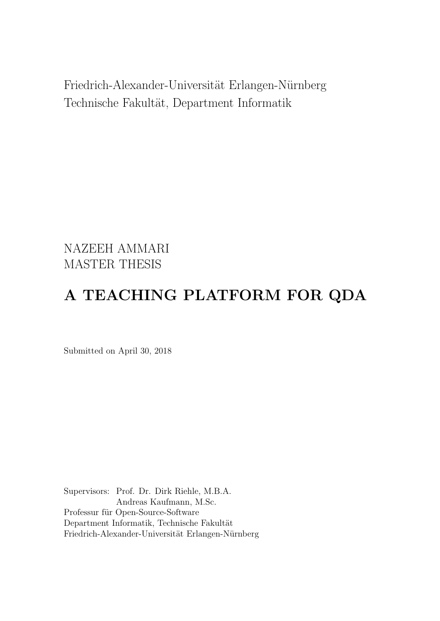Friedrich-Alexander-Universität Erlangen-Nürnberg Technische Fakultät, Department Informatik

NAZEEH AMMARI MASTER THESIS

## A TEACHING PLATFORM FOR QDA

Submitted on April 30, 2018

Supervisors: Prof. Dr. Dirk Riehle, M.B.A. Andreas Kaufmann, M.Sc. Professur für Open-Source-Software Department Informatik, Technische Fakultät Friedrich-Alexander-Universität Erlangen-Nürnberg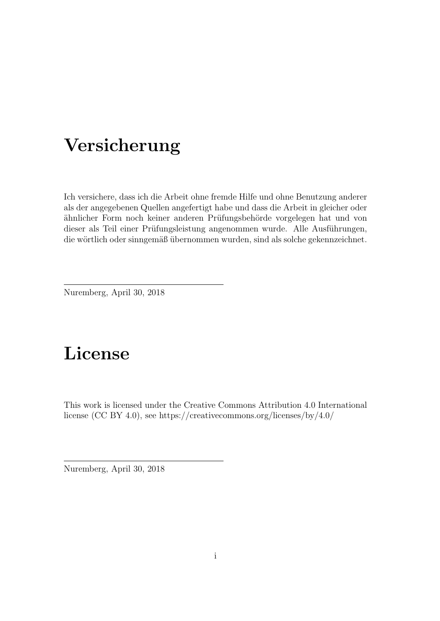## Versicherung

Ich versichere, dass ich die Arbeit ohne fremde Hilfe und ohne Benutzung anderer als der angegebenen Quellen angefertigt habe und dass die Arbeit in gleicher oder ähnlicher Form noch keiner anderen Prüfungsbehörde vorgelegen hat und von dieser als Teil einer Prüfungsleistung angenommen wurde. Alle Ausführungen, die wörtlich oder sinngemäß übernommen wurden, sind als solche gekennzeichnet.

Nuremberg, April 30, 2018

## License

This work is licensed under the Creative Commons Attribution 4.0 International license (CC BY 4.0), see<https://creativecommons.org/licenses/by/4.0/>

Nuremberg, April 30, 2018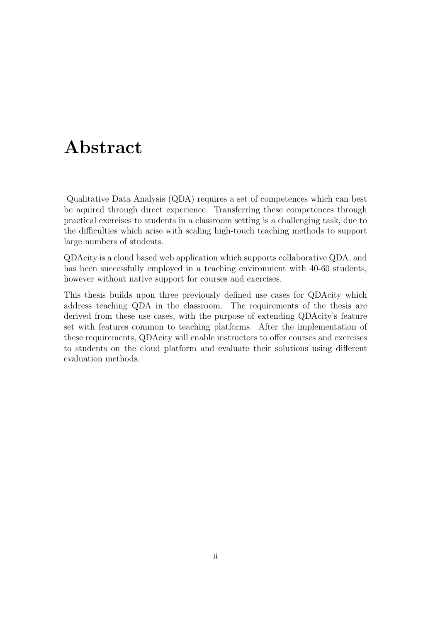## Abstract

Qualitative Data Analysis (QDA) requires a set of competences which can best be aquired through direct experience. Transferring these competences through practical exercises to students in a classroom setting is a challenging task, due to the difficulties which arise with scaling high-touch teaching methods to support large numbers of students.

QDAcity is a cloud based web application which supports collaborative QDA, and has been successfully employed in a teaching environment with 40-60 students, however without native support for courses and exercises.

This thesis builds upon three previously defined use cases for QDAcity which address teaching QDA in the classroom. The requirements of the thesis are derived from these use cases, with the purpose of extending QDAcity's feature set with features common to teaching platforms. After the implementation of these requirements, QDAcity will enable instructors to offer courses and exercises to students on the cloud platform and evaluate their solutions using different evaluation methods.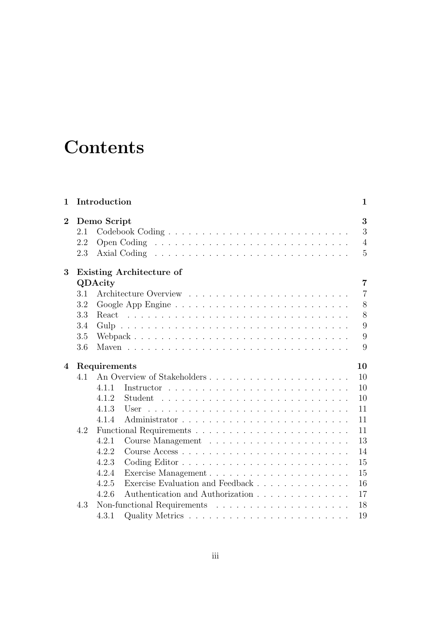## **Contents**

| 1              |     | Introduction |                                  | $\mathbf{1}$   |
|----------------|-----|--------------|----------------------------------|----------------|
| $\overline{2}$ |     | Demo Script  |                                  | 3              |
|                | 2.1 |              |                                  | 3              |
|                | 2.2 |              |                                  | $\overline{4}$ |
|                | 2.3 |              |                                  | $\overline{5}$ |
| 3              |     |              | <b>Existing Architecture of</b>  |                |
|                |     | QDAcity      |                                  | $\overline{7}$ |
|                | 3.1 |              |                                  | $\overline{7}$ |
|                | 3.2 |              |                                  | 8              |
|                | 3.3 |              |                                  | 8              |
|                | 3.4 |              |                                  | 9              |
|                | 3.5 |              |                                  | 9              |
|                | 3.6 |              |                                  | 9              |
| 4              |     | Requirements |                                  | 10             |
|                | 4.1 |              |                                  | 10             |
|                |     | 4.1.1        |                                  | 10             |
|                |     | 4.1.2        |                                  | 10             |
|                |     | 4.1.3        | User                             | 11             |
|                |     | 4.1.4        |                                  | 11             |
|                | 4.2 |              |                                  | 11             |
|                |     | 4.2.1        |                                  | 13             |
|                |     | 4.2.2        |                                  | 14             |
|                |     | 4.2.3        |                                  | 15             |
|                |     | 4.2.4        |                                  | 15             |
|                |     | 4.2.5        | Exercise Evaluation and Feedback | 16             |
|                |     | 4.2.6        | Authentication and Authorization | 17             |
|                | 4.3 |              |                                  | 18             |
|                |     | 4.3.1        |                                  | 19             |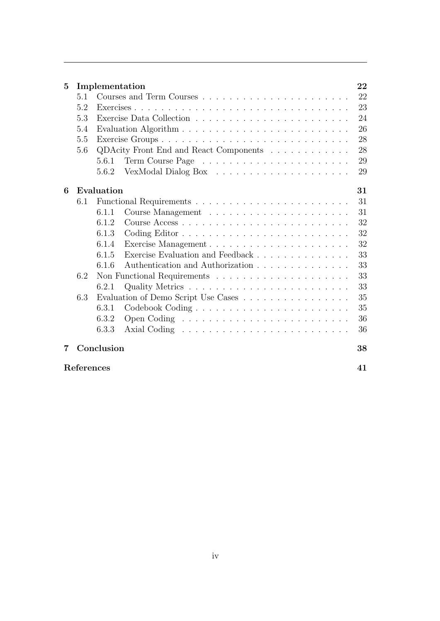| 5 |            | Implementation |                                        | 22 |
|---|------------|----------------|----------------------------------------|----|
|   | 5.1        |                |                                        | 22 |
|   | 5.2        |                |                                        | 23 |
|   | 5.3        |                |                                        | 24 |
|   | 5.4        |                |                                        | 26 |
|   | 5.5        |                | Exercise Groups                        | 28 |
|   | 5.6        |                | QDAcity Front End and React Components | 28 |
|   |            | 5.6.1          |                                        | 29 |
|   |            | 5.6.2          |                                        | 29 |
| 6 |            | Evaluation     |                                        | 31 |
|   | 6.1        |                |                                        | 31 |
|   |            | 6.1.1          |                                        | 31 |
|   |            | 6.1.2          |                                        | 32 |
|   |            | 6.1.3          |                                        | 32 |
|   |            | 6.1.4          |                                        | 32 |
|   |            | 6.1.5          |                                        | 33 |
|   |            | 6.1.6          | Authentication and Authorization       | 33 |
|   | 6.2        |                |                                        | 33 |
|   |            | 6.2.1          |                                        | 33 |
|   | 6.3        |                | Evaluation of Demo Script Use Cases    | 35 |
|   |            | 6.3.1          |                                        | 35 |
|   |            | 6.3.2          |                                        | 36 |
|   |            | 6.3.3          |                                        | 36 |
| 7 |            | Conclusion     |                                        | 38 |
|   | References |                |                                        | 41 |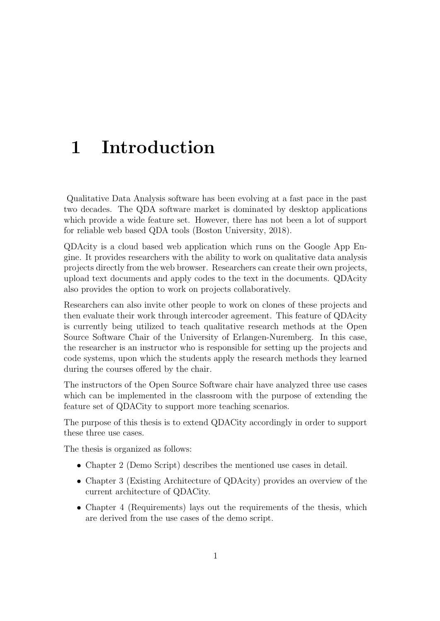## <span id="page-5-0"></span>1 Introduction

Qualitative Data Analysis software has been evolving at a fast pace in the past two decades. The QDA software market is dominated by desktop applications which provide a wide feature set. However, there has not been a lot of support for reliable web based QDA tools (Boston University, [2018\)](#page-45-1).

QDAcity is a cloud based web application which runs on the Google App Engine. It provides researchers with the ability to work on qualitative data analysis projects directly from the web browser. Researchers can create their own projects, upload text documents and apply codes to the text in the documents. QDAcity also provides the option to work on projects collaboratively.

Researchers can also invite other people to work on clones of these projects and then evaluate their work through intercoder agreement. This feature of QDAcity is currently being utilized to teach qualitative research methods at the Open Source Software Chair of the University of Erlangen-Nuremberg. In this case, the researcher is an instructor who is responsible for setting up the projects and code systems, upon which the students apply the research methods they learned during the courses offered by the chair.

The instructors of the Open Source Software chair have analyzed three use cases which can be implemented in the classroom with the purpose of extending the feature set of QDACity to support more teaching scenarios.

The purpose of this thesis is to extend QDACity accordingly in order to support these three use cases.

The thesis is organized as follows:

- Chapter [2](#page-7-0) (Demo Script) describes the mentioned use cases in detail.
- Chapter [3](#page-11-0) (Existing Architecture of QDAcity) provides an overview of the current architecture of QDACity.
- Chapter [4](#page-14-0) (Requirements) lays out the requirements of the thesis, which are derived from the use cases of the demo script.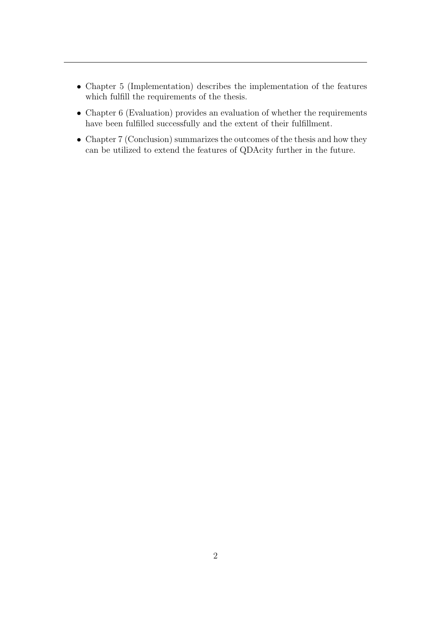- Chapter [5](#page-26-0) (Implementation) describes the implementation of the features which fulfill the requirements of the thesis.
- Chapter [6](#page-35-0) (Evaluation) provides an evaluation of whether the requirements have been fulfilled successfully and the extent of their fulfillment.
- Chapter [7](#page-42-0) (Conclusion) summarizes the outcomes of the thesis and how they can be utilized to extend the features of QDAcity further in the future.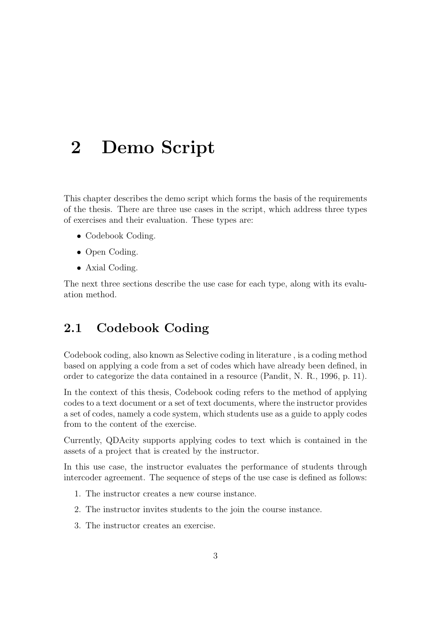## <span id="page-7-0"></span>2 Demo Script

This chapter describes the demo script which forms the basis of the requirements of the thesis. There are three use cases in the script, which address three types of exercises and their evaluation. These types are:

- Codebook Coding.
- Open Coding.
- Axial Coding.

<span id="page-7-1"></span>The next three sections describe the use case for each type, along with its evaluation method.

### 2.1 Codebook Coding

Codebook coding, also known as Selective coding in literature , is a coding method based on applying a code from a set of codes which have already been defined, in order to categorize the data contained in a resource (Pandit, N. R., [1996,](#page-45-2) p. 11).

In the context of this thesis, Codebook coding refers to the method of applying codes to a text document or a set of text documents, where the instructor provides a set of codes, namely a code system, which students use as a guide to apply codes from to the content of the exercise.

Currently, QDAcity supports applying codes to text which is contained in the assets of a project that is created by the instructor.

In this use case, the instructor evaluates the performance of students through intercoder agreement. The sequence of steps of the use case is defined as follows:

- 1. The instructor creates a new course instance.
- 2. The instructor invites students to the join the course instance.
- 3. The instructor creates an exercise.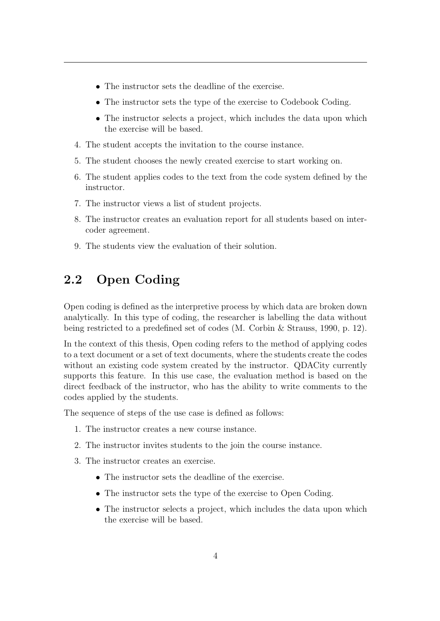- The instructor sets the deadline of the exercise.
- The instructor sets the type of the exercise to Codebook Coding.
- The instructor selects a project, which includes the data upon which the exercise will be based.
- 4. The student accepts the invitation to the course instance.
- 5. The student chooses the newly created exercise to start working on.
- 6. The student applies codes to the text from the code system defined by the instructor.
- 7. The instructor views a list of student projects.
- 8. The instructor creates an evaluation report for all students based on intercoder agreement.
- <span id="page-8-0"></span>9. The students view the evaluation of their solution.

## 2.2 Open Coding

Open coding is defined as the interpretive process by which data are broken down analytically. In this type of coding, the researcher is labelling the data without being restricted to a predefined set of codes (M. Corbin & Strauss, [1990,](#page-45-3) p. 12).

In the context of this thesis, Open coding refers to the method of applying codes to a text document or a set of text documents, where the students create the codes without an existing code system created by the instructor. QDACity currently supports this feature. In this use case, the evaluation method is based on the direct feedback of the instructor, who has the ability to write comments to the codes applied by the students.

The sequence of steps of the use case is defined as follows:

- 1. The instructor creates a new course instance.
- 2. The instructor invites students to the join the course instance.
- 3. The instructor creates an exercise.
	- The instructor sets the deadline of the exercise.
	- The instructor sets the type of the exercise to Open Coding.
	- The instructor selects a project, which includes the data upon which the exercise will be based.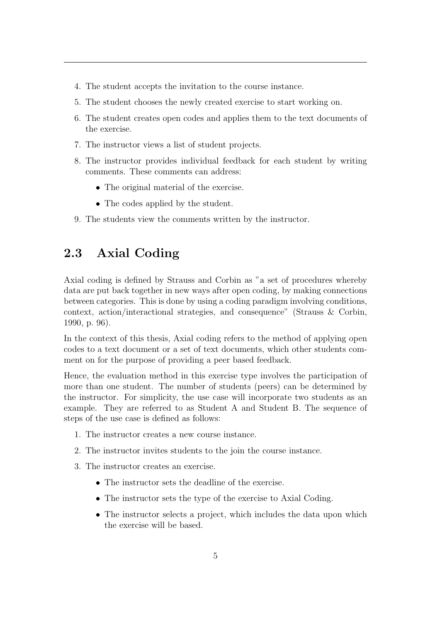- 4. The student accepts the invitation to the course instance.
- 5. The student chooses the newly created exercise to start working on.
- 6. The student creates open codes and applies them to the text documents of the exercise.
- 7. The instructor views a list of student projects.
- 8. The instructor provides individual feedback for each student by writing comments. These comments can address:
	- The original material of the exercise.
	- The codes applied by the student.
- <span id="page-9-0"></span>9. The students view the comments written by the instructor.

### 2.3 Axial Coding

Axial coding is defined by Strauss and Corbin as "a set of procedures whereby data are put back together in new ways after open coding, by making connections between categories. This is done by using a coding paradigm involving conditions, context, action/interactional strategies, and consequence" (Strauss & Corbin, [1990,](#page-45-4) p. 96).

In the context of this thesis, Axial coding refers to the method of applying open codes to a text document or a set of text documents, which other students comment on for the purpose of providing a peer based feedback.

Hence, the evaluation method in this exercise type involves the participation of more than one student. The number of students (peers) can be determined by the instructor. For simplicity, the use case will incorporate two students as an example. They are referred to as Student A and Student B. The sequence of steps of the use case is defined as follows:

- 1. The instructor creates a new course instance.
- 2. The instructor invites students to the join the course instance.
- 3. The instructor creates an exercise.
	- The instructor sets the deadline of the exercise.
	- The instructor sets the type of the exercise to Axial Coding.
	- The instructor selects a project, which includes the data upon which the exercise will be based.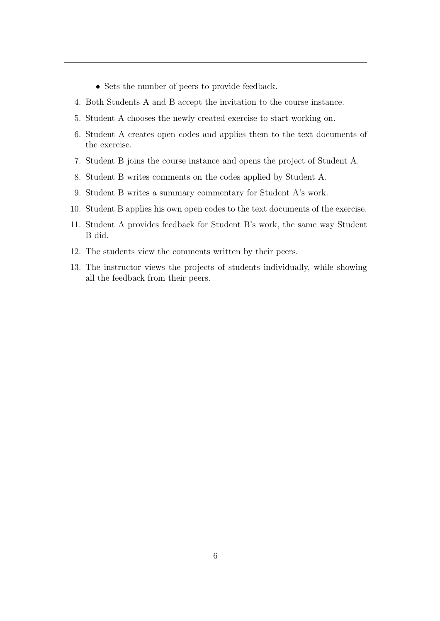- Sets the number of peers to provide feedback.
- 4. Both Students A and B accept the invitation to the course instance.
- 5. Student A chooses the newly created exercise to start working on.
- 6. Student A creates open codes and applies them to the text documents of the exercise.
- 7. Student B joins the course instance and opens the project of Student A.
- 8. Student B writes comments on the codes applied by Student A.
- 9. Student B writes a summary commentary for Student A's work.
- 10. Student B applies his own open codes to the text documents of the exercise.
- 11. Student A provides feedback for Student B's work, the same way Student B did.
- 12. The students view the comments written by their peers.
- 13. The instructor views the projects of students individually, while showing all the feedback from their peers.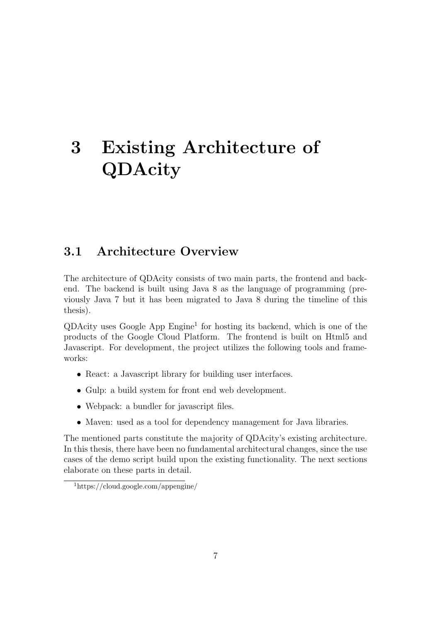## <span id="page-11-0"></span>3 Existing Architecture of QDAcity

### <span id="page-11-1"></span>3.1 Architecture Overview

The architecture of QDAcity consists of two main parts, the frontend and backend. The backend is built using Java 8 as the language of programming (previously Java 7 but it has been migrated to Java 8 during the timeline of this thesis).

 $QDAcity$  uses Google App  $Engine<sup>1</sup>$  $Engine<sup>1</sup>$  $Engine<sup>1</sup>$  for hosting its backend, which is one of the products of the Google Cloud Platform. The frontend is built on Html5 and Javascript. For development, the project utilizes the following tools and frameworks:

- React: a Javascript library for building user interfaces.
- Gulp: a build system for front end web development.
- Webpack: a bundler for javascript files.
- Maven: used as a tool for dependency management for Java libraries.

The mentioned parts constitute the majority of QDAcity's existing architecture. In this thesis, there have been no fundamental architectural changes, since the use cases of the demo script build upon the existing functionality. The next sections elaborate on these parts in detail.

<span id="page-11-3"></span><span id="page-11-2"></span><sup>1</sup>https://cloud.google.com/appengine/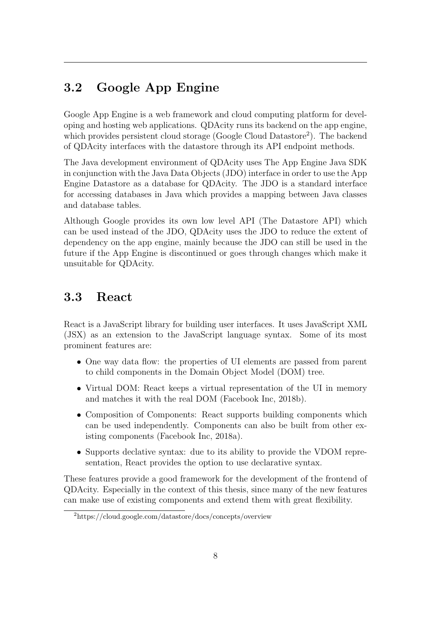## 3.2 Google App Engine

Google App Engine is a web framework and cloud computing platform for developing and hosting web applications. QDAcity runs its backend on the app engine, which provides persistent cloud storage (Google Cloud Datastore<sup>[2](#page-12-2)</sup>). The backend of QDAcity interfaces with the datastore through its API endpoint methods.

The Java development environment of QDAcity uses The App Engine Java SDK in conjunction with the Java Data Objects (JDO) interface in order to use the App Engine Datastore as a database for QDAcity. The JDO is a standard interface for accessing databases in Java which provides a mapping between Java classes and database tables.

Although Google provides its own low level API (The Datastore API) which can be used instead of the JDO, QDAcity uses the JDO to reduce the extent of dependency on the app engine, mainly because the JDO can still be used in the future if the App Engine is discontinued or goes through changes which make it unsuitable for QDAcity.

### <span id="page-12-0"></span>3.3 React

React is a JavaScript library for building user interfaces. It uses JavaScript XML (JSX) as an extension to the JavaScript language syntax. Some of its most prominent features are:

- One way data flow: the properties of UI elements are passed from parent to child components in the Domain Object Model (DOM) tree.
- Virtual DOM: React keeps a virtual representation of the UI in memory and matches it with the real DOM (Facebook Inc, [2018b\)](#page-45-5).
- Composition of Components: React supports building components which can be used independently. Components can also be built from other existing components (Facebook Inc, [2018a\)](#page-45-6).
- Supports declative syntax: due to its ability to provide the VDOM representation, React provides the option to use declarative syntax.

These features provide a good framework for the development of the frontend of QDAcity. Especially in the context of this thesis, since many of the new features can make use of existing components and extend them with great flexibility.

<span id="page-12-2"></span><span id="page-12-1"></span><sup>2</sup>https://cloud.google.com/datastore/docs/concepts/overview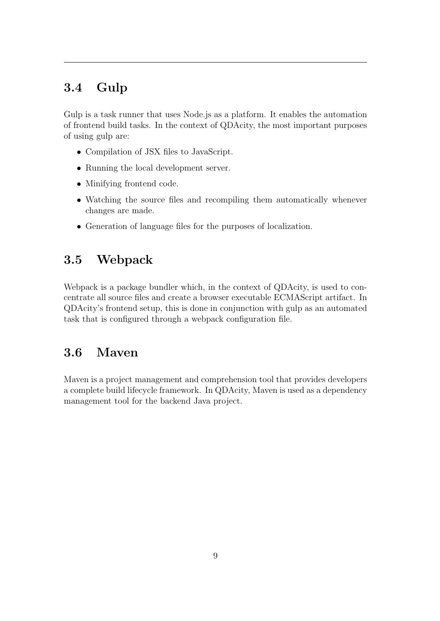## 3.4 Gulp

Gulp is a task runner that uses Node.js as a platform. It enables the automation of frontend build tasks. In the context of QDAcity, the most important purposes of using gulp are:

- Compilation of JSX files to JavaScript.
- Running the local development server.
- Minifying frontend code.
- Watching the source files and recompiling them automatically whenever changes are made.
- <span id="page-13-0"></span>• Generation of language files for the purposes of localization.

### 3.5 Webpack

Webpack is a package bundler which, in the context of QDAcity, is used to concentrate all source files and create a browser executable ECMAScript artifact. In QDAcity's frontend setup, this is done in conjunction with gulp as an automated task that is configured through a webpack configuration file.

### <span id="page-13-1"></span>3.6 Maven

Maven is a project management and comprehension tool that provides developers a complete build lifecycle framework. In QDAcity, Maven is used as a dependency management tool for the backend Java project.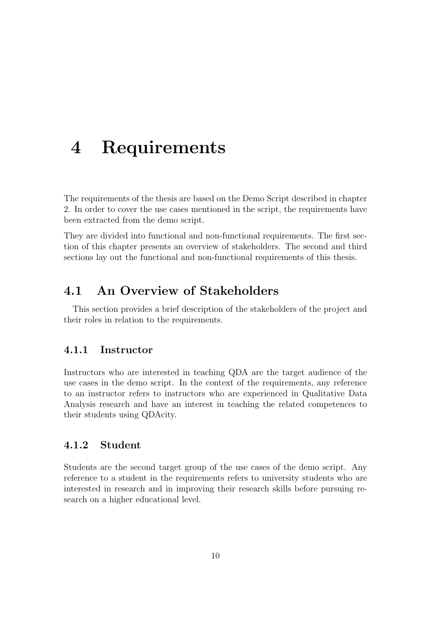## <span id="page-14-0"></span>4 Requirements

The requirements of the thesis are based on the Demo Script described in chapter [2.](#page-7-0) In order to cover the use cases mentioned in the script, the requirements have been extracted from the demo script.

They are divided into functional and non-functional requirements. The first section of this chapter presents an overview of stakeholders. The second and third sections lay out the functional and non-functional requirements of this thesis.

## <span id="page-14-1"></span>4.1 An Overview of Stakeholders

<span id="page-14-2"></span>This section provides a brief description of the stakeholders of the project and their roles in relation to the requirements.

#### 4.1.1 Instructor

Instructors who are interested in teaching QDA are the target audience of the use cases in the demo script. In the context of the requirements, any reference to an instructor refers to instructors who are experienced in Qualitative Data Analysis research and have an interest in teaching the related competences to their students using QDAcity.

#### <span id="page-14-3"></span>4.1.2 Student

<span id="page-14-4"></span>Students are the second target group of the use cases of the demo script. Any reference to a student in the requirements refers to university students who are interested in research and in improving their research skills before pursuing research on a higher educational level.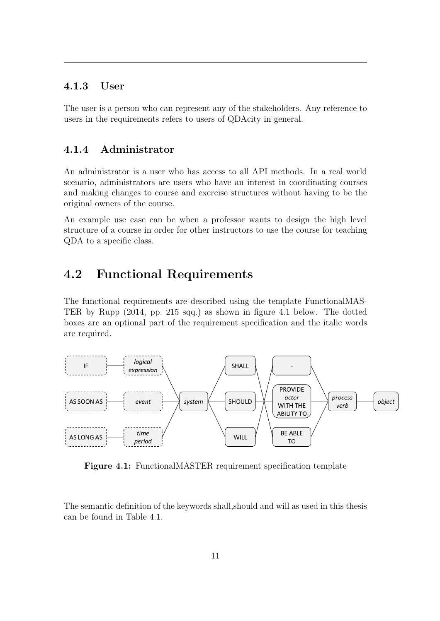#### 4.1.3 User

<span id="page-15-0"></span>The user is a person who can represent any of the stakeholders. Any reference to users in the requirements refers to users of QDAcity in general.

#### 4.1.4 Administrator

An administrator is a user who has access to all API methods. In a real world scenario, administrators are users who have an interest in coordinating courses and making changes to course and exercise structures without having to be the original owners of the course.

An example use case can be when a professor wants to design the high level structure of a course in order for other instructors to use the course for teaching QDA to a specific class.

### <span id="page-15-1"></span>4.2 Functional Requirements

The functional requirements are described using the template FunctionalMAS-TER by Rupp [\(2014,](#page-45-7) pp. 215 sqq.) as shown in figure [4.1](#page-15-2) below. The dotted boxes are an optional part of the requirement specification and the italic words are required.

<span id="page-15-2"></span>

Figure 4.1: FunctionalMASTER requirement specification template

The semantic definition of the keywords shall,should and will as used in this thesis can be found in Table [4.1.](#page-16-0)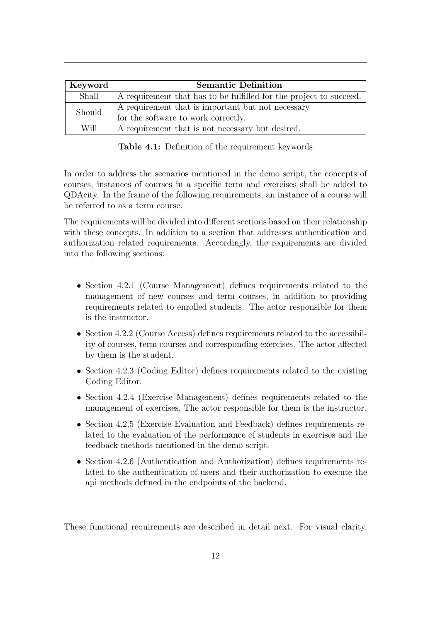<span id="page-16-0"></span>

| Keyword | <b>Semantic Definition</b>                                         |  |  |
|---------|--------------------------------------------------------------------|--|--|
| Shall   | A requirement that has to be fulfilled for the project to succeed. |  |  |
| Should  | A requirement that is important but not necessary                  |  |  |
|         | for the software to work correctly.                                |  |  |
| Will    | A requirement that is not necessary but desired.                   |  |  |

Table 4.1: Definition of the requirement keywords

In order to address the scenarios mentioned in the demo script, the concepts of courses, instances of courses in a specific term and exercises shall be added to QDAcity. In the frame of the following requirements, an instance of a course will be referred to as a term course.

The requirements will be divided into different sections based on their relationship with these concepts. In addition to a section that addresses authentication and authorization related requirements. Accordingly, the requirements are divided into the following sections:

- Section [4.2.1](#page-17-0) (Course Management) defines requirements related to the management of new courses and term courses, in addition to providing requirements related to enrolled students. The actor responsible for them is the instructor.
- Section [4.2.2](#page-18-0) (Course Access) defines requirements related to the accessibility of courses, term courses and corresponding exercises. The actor affected by them is the student.
- Section [4.2.3](#page-19-0) (Coding Editor) defines requirements related to the existing Coding Editor.
- Section [4.2.4](#page-19-1) (Exercise Management) defines requirements related to the management of exercises, The actor responsible for them is the instructor.
- Section [4.2.5](#page-20-0) (Exercise Evaluation and Feedback) defines requirements related to the evaluation of the performance of students in exercises and the feedback methods mentioned in the demo script.
- Section [4.2.6](#page-21-0) (Authentication and Authorization) defines requirements related to the authentication of users and their authorization to execute the api methods defined in the endpoints of the backend.

These functional requirements are described in detail next. For visual clarity,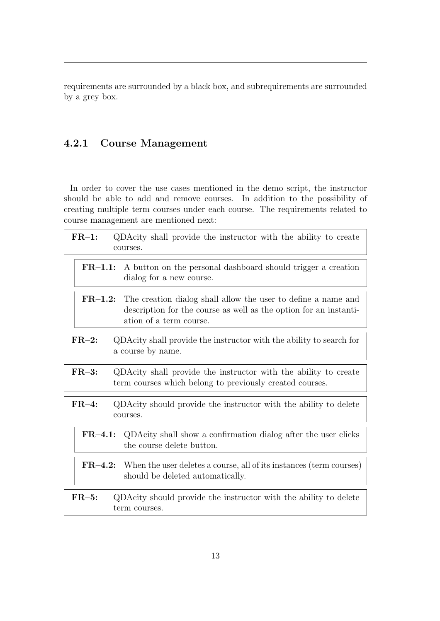requirements are surrounded by a black box, and subrequirements are surrounded by a grey box.

#### <span id="page-17-0"></span>4.2.1 Course Management

In order to cover the use cases mentioned in the demo script, the instructor should be able to add and remove courses. In addition to the possibility of creating multiple term courses under each course. The requirements related to course management are mentioned next:

| $FR-1:$<br>courses.   | QDAcity shall provide the instructor with the ability to create                                                                                               |
|-----------------------|---------------------------------------------------------------------------------------------------------------------------------------------------------------|
| $FR-1.1:$             | A button on the personal dashboard should trigger a creation<br>dialog for a new course.                                                                      |
| $\rm FR\text{--}1.2:$ | The creation dialog shall allow the user to define a name and<br>description for the course as well as the option for an instanti-<br>ation of a term course. |
| $FR-2:$               | QDAcity shall provide the instructor with the ability to search for<br>a course by name.                                                                      |
| $FR-3:$               | QDAcity shall provide the instructor with the ability to create<br>term courses which belong to previously created courses.                                   |
| $FR-4:$<br>courses.   | QDAcity should provide the instructor with the ability to delete                                                                                              |
| $FR-4.1$ :            | QDAcity shall show a confirmation dialog after the user clicks<br>the course delete button.                                                                   |
| $\rm FR\text{--}4.2:$ | When the user deletes a course, all of its instances (term courses)<br>should be deleted automatically.                                                       |
| $FR-5:$               | QDAcity should provide the instructor with the ability to delete<br>term courses.                                                                             |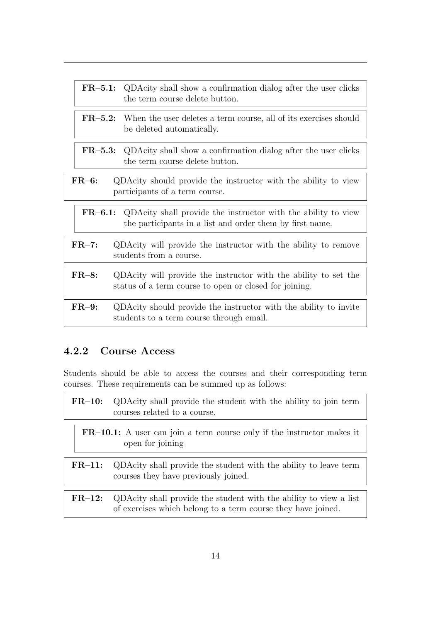| $FR-5.1:$ | QDAcity shall show a confirmation dialog after the user clicks<br>the term course delete button.                          |
|-----------|---------------------------------------------------------------------------------------------------------------------------|
|           | <b>FR-5.2:</b> When the user deletes a term course, all of its exercises should<br>be deleted automatically.              |
|           | <b>FR-5.3:</b> QDAcity shall show a confirmation dialog after the user clicks<br>the term course delete button.           |
| $FR-6:$   | QDAcity should provide the instructor with the ability to view<br>participants of a term course.                          |
| $FR-6.1:$ | QDAcity shall provide the instructor with the ability to view<br>the participants in a list and order them by first name. |
| $FR-7:$   | QDAcity will provide the instructor with the ability to remove<br>students from a course.                                 |
| $FR-8:$   | QDAcity will provide the instructor with the ability to set the<br>status of a term course to open or closed for joining. |
| $FR-9:$   | QDAcity should provide the instructor with the ability to invite<br>students to a term course through email.              |

#### <span id="page-18-0"></span>4.2.2 Course Access

Students should be able to access the courses and their corresponding term courses. These requirements can be summed up as follows:

| $FR-10:$ | QDAcity shall provide the student with the ability to join term<br>courses related to a course.                                   |
|----------|-----------------------------------------------------------------------------------------------------------------------------------|
|          | <b>FR-10.1:</b> A user can join a term course only if the instructor makes it<br>open for joining                                 |
| $FR-11:$ | QDAcity shall provide the student with the ability to leave term<br>courses they have previously joined.                          |
| $FR-12:$ | QDAcity shall provide the student with the ability to view a list<br>of exercises which belong to a term course they have joined. |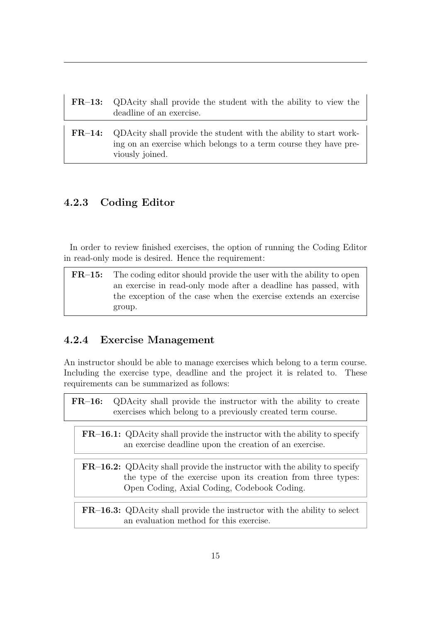| $\rm FR\text{--}13:$ | QDAcity shall provide the student with the ability to view the<br>deadline of an exercise.                                                               |
|----------------------|----------------------------------------------------------------------------------------------------------------------------------------------------------|
|                      |                                                                                                                                                          |
| $FR-14:$             | QDAcity shall provide the student with the ability to start work-<br>ing on an exercise which belongs to a term course they have pre-<br>viously joined. |

#### <span id="page-19-0"></span>4.2.3 Coding Editor

In order to review finished exercises, the option of running the Coding Editor in read-only mode is desired. Hence the requirement:

FR–15: The coding editor should provide the user with the ability to open an exercise in read-only mode after a deadline has passed, with the exception of the case when the exercise extends an exercise group.

#### <span id="page-19-1"></span>4.2.4 Exercise Management

An instructor should be able to manage exercises which belong to a term course. Including the exercise type, deadline and the project it is related to. These requirements can be summarized as follows:

| $\rm FR\text{--}16:$ | QDAcity shall provide the instructor with the ability to create<br>exercises which belong to a previously created term course.                                                                  |
|----------------------|-------------------------------------------------------------------------------------------------------------------------------------------------------------------------------------------------|
|                      |                                                                                                                                                                                                 |
|                      | <b>FR-16.1:</b> QDAcity shall provide the instructor with the ability to specify<br>an exercise deadline upon the creation of an exercise.                                                      |
|                      |                                                                                                                                                                                                 |
|                      | <b>FR-16.2:</b> QDAcity shall provide the instructor with the ability to specify<br>the type of the exercise upon its creation from three types:<br>Open Coding, Axial Coding, Codebook Coding. |
|                      |                                                                                                                                                                                                 |
|                      | <b>FR-16.3:</b> QDAcity shall provide the instructor with the ability to select<br>an evaluation method for this exercise.                                                                      |
|                      |                                                                                                                                                                                                 |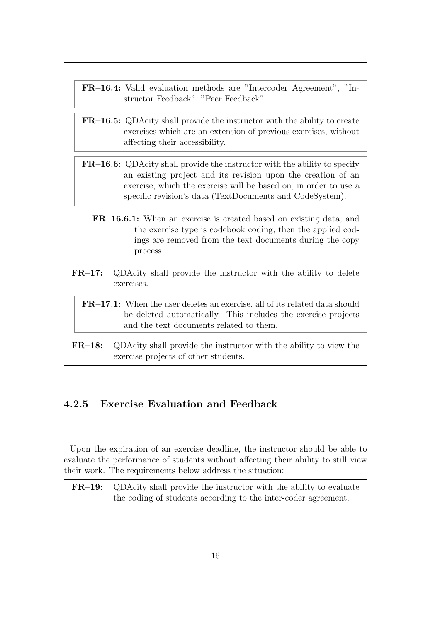- FR–16.4: Valid evaluation methods are "Intercoder Agreement", "Instructor Feedback", "Peer Feedback"
- FR–16.5: QDAcity shall provide the instructor with the ability to create exercises which are an extension of previous exercises, without affecting their accessibility.
- FR–16.6: QDAcity shall provide the instructor with the ability to specify an existing project and its revision upon the creation of an exercise, which the exercise will be based on, in order to use a specific revision's data (TextDocuments and CodeSystem).
	- FR–16.6.1: When an exercise is created based on existing data, and the exercise type is codebook coding, then the applied codings are removed from the text documents during the copy process.
- FR–17: QDAcity shall provide the instructor with the ability to delete exercises.

#### FR–17.1: When the user deletes an exercise, all of its related data should be deleted automatically. This includes the exercise projects and the text documents related to them.

FR–18: QDAcity shall provide the instructor with the ability to view the exercise projects of other students.

#### <span id="page-20-0"></span>4.2.5 Exercise Evaluation and Feedback

Upon the expiration of an exercise deadline, the instructor should be able to evaluate the performance of students without affecting their ability to still view their work. The requirements below address the situation:

FR–19: QDAcity shall provide the instructor with the ability to evaluate the coding of students according to the inter-coder agreement.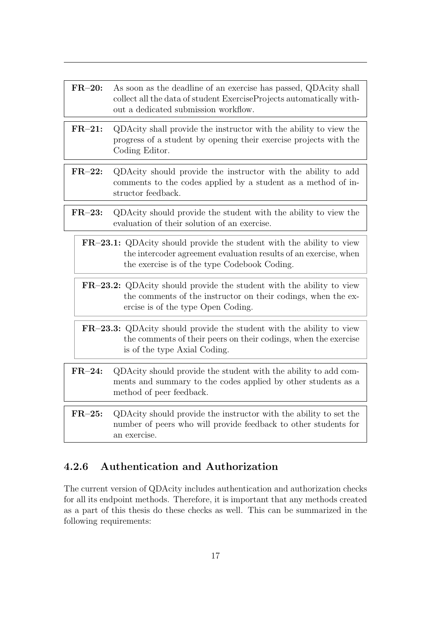| As soon as the deadline of an exercise has passed, QDAcity shall<br>collect all the data of student ExerciseProjects automatically with-<br>out a dedicated submission workflow.                |
|-------------------------------------------------------------------------------------------------------------------------------------------------------------------------------------------------|
| QDAcity shall provide the instructor with the ability to view the<br>progress of a student by opening their exercise projects with the<br>Coding Editor.                                        |
| QDAcity should provide the instructor with the ability to add<br>comments to the codes applied by a student as a method of in-<br>structor feedback.                                            |
| QDAcity should provide the student with the ability to view the<br>evaluation of their solution of an exercise.                                                                                 |
| <b>FR-23.1:</b> QDAcity should provide the student with the ability to view<br>the intercoder agreement evaluation results of an exercise, when<br>the exercise is of the type Codebook Coding. |
| FR-23.2: QDAcity should provide the student with the ability to view<br>the comments of the instructor on their codings, when the ex-<br>ercise is of the type Open Coding.                     |
| <b>FR-23.3:</b> QDAcity should provide the student with the ability to view<br>the comments of their peers on their codings, when the exercise<br>is of the type Axial Coding.                  |
| QDAcity should provide the student with the ability to add com-<br>ments and summary to the codes applied by other students as a<br>method of peer feedback.                                    |
| QDAcity should provide the instructor with the ability to set the<br>number of peers who will provide feedback to other students for<br>an exercise.                                            |
|                                                                                                                                                                                                 |

### <span id="page-21-0"></span>4.2.6 Authentication and Authorization

The current version of QDAcity includes authentication and authorization checks for all its endpoint methods. Therefore, it is important that any methods created as a part of this thesis do these checks as well. This can be summarized in the following requirements: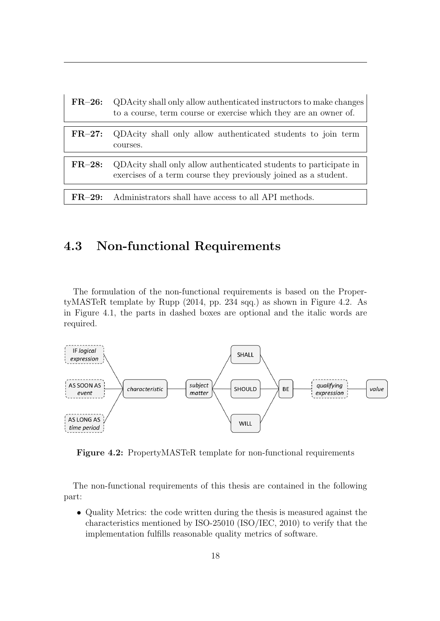| $FR-26:$ | QDAcity shall only allow authenticated instructors to make changes<br>to a course, term course or exercise which they are an owner of. |
|----------|----------------------------------------------------------------------------------------------------------------------------------------|
| $FR-27:$ | QDAcity shall only allow authenticated students to join term<br>courses.                                                               |
| $FR-28:$ | QDAcity shall only allow authenticated students to participate in<br>exercises of a term course they previously joined as a student.   |
|          |                                                                                                                                        |
| $FR=29:$ | Administrators shall have access to all API methods.                                                                                   |

### <span id="page-22-0"></span>4.3 Non-functional Requirements

The formulation of the non-functional requirements is based on the PropertyMASTeR template by Rupp [\(2014,](#page-45-7) pp. 234 sqq.) as shown in Figure [4.2.](#page-22-1) As in Figure [4.1,](#page-15-2) the parts in dashed boxes are optional and the italic words are required.

<span id="page-22-1"></span>

Figure 4.2: PropertyMASTeR template for non-functional requirements

The non-functional requirements of this thesis are contained in the following part:

• Quality Metrics: the code written during the thesis is measured against the characteristics mentioned by ISO-25010 (ISO/IEC, [2010\)](#page-45-8) to verify that the implementation fulfills reasonable quality metrics of software.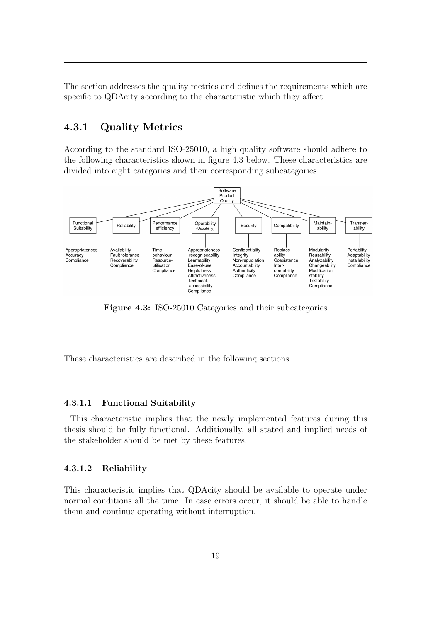<span id="page-23-0"></span>The section addresses the quality metrics and defines the requirements which are specific to QDAcity according to the characteristic which they affect.

#### 4.3.1 Quality Metrics

According to the standard ISO-25010, a high quality software should adhere to the following characteristics shown in figure [4.3](#page-23-1) below. These characteristics are divided into eight categories and their corresponding subcategories.

<span id="page-23-1"></span>

Figure 4.3: ISO-25010 Categories and their subcategories

These characteristics are described in the following sections.

#### 4.3.1.1 Functional Suitability

This characteristic implies that the newly implemented features during this thesis should be fully functional. Additionally, all stated and implied needs of the stakeholder should be met by these features.

#### 4.3.1.2 Reliability

This characteristic implies that QDAcity should be available to operate under normal conditions all the time. In case errors occur, it should be able to handle them and continue operating without interruption.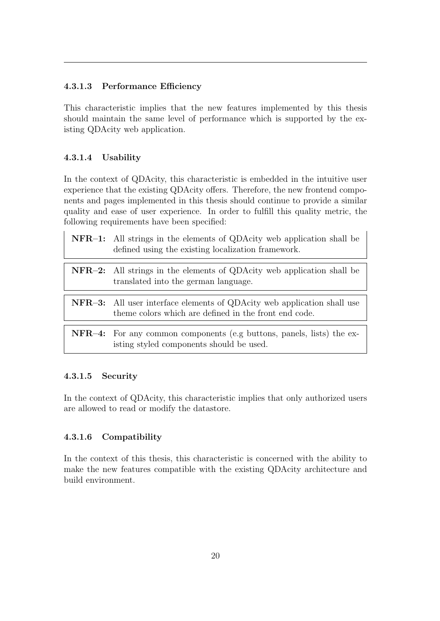#### 4.3.1.3 Performance Efficiency

This characteristic implies that the new features implemented by this thesis should maintain the same level of performance which is supported by the existing QDAcity web application.

#### <span id="page-24-0"></span>4.3.1.4 Usability

In the context of QDAcity, this characteristic is embedded in the intuitive user experience that the existing QDAcity offers. Therefore, the new frontend components and pages implemented in this thesis should continue to provide a similar quality and ease of user experience. In order to fulfill this quality metric, the following requirements have been specified:

| <b>NFR-1:</b> All strings in the elements of QDAcity web application shall be<br>defined using the existing localization framework.     |
|-----------------------------------------------------------------------------------------------------------------------------------------|
| <b>NFR-2:</b> All strings in the elements of QDAcity web application shall be<br>translated into the german language.                   |
| <b>NFR-3:</b> All user interface elements of QDAcity web application shall use<br>theme colors which are defined in the front end code. |
| NFR-4: For any common components (e.g buttons, panels, lists) the ex-<br>isting styled components should be used.                       |

#### 4.3.1.5 Security

In the context of QDAcity, this characteristic implies that only authorized users are allowed to read or modify the datastore.

#### 4.3.1.6 Compatibility

<span id="page-24-1"></span>In the context of this thesis, this characteristic is concerned with the ability to make the new features compatible with the existing QDAcity architecture and build environment.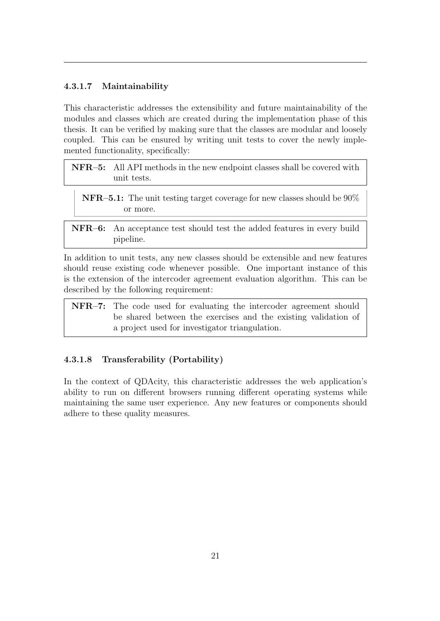#### 4.3.1.7 Maintainability

This characteristic addresses the extensibility and future maintainability of the modules and classes which are created during the implementation phase of this thesis. It can be verified by making sure that the classes are modular and loosely coupled. This can be ensured by writing unit tests to cover the newly implemented functionality, specifically:

- NFR–5: All API methods in the new endpoint classes shall be covered with unit tests.
	- NFR–5.1: The unit testing target coverage for new classes should be 90% or more.
- NFR–6: An acceptance test should test the added features in every build pipeline.

In addition to unit tests, any new classes should be extensible and new features should reuse existing code whenever possible. One important instance of this is the extension of the intercoder agreement evaluation algorithm. This can be described by the following requirement:

NFR–7: The code used for evaluating the intercoder agreement should be shared between the exercises and the existing validation of a project used for investigator triangulation.

#### 4.3.1.8 Transferability (Portability)

In the context of QDAcity, this characteristic addresses the web application's ability to run on different browsers running different operating systems while maintaining the same user experience. Any new features or components should adhere to these quality measures.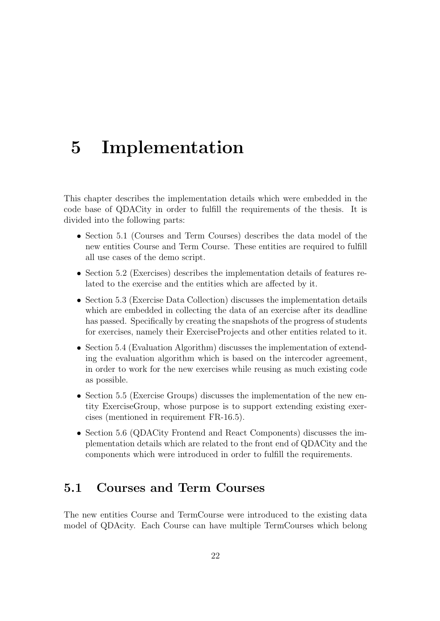## <span id="page-26-0"></span>5 Implementation

This chapter describes the implementation details which were embedded in the code base of QDACity in order to fulfill the requirements of the thesis. It is divided into the following parts:

- Section [5.1](#page-26-1) (Courses and Term Courses) describes the data model of the new entities Course and Term Course. These entities are required to fulfill all use cases of the demo script.
- Section [5.2](#page-27-0) (Exercises) describes the implementation details of features related to the exercise and the entities which are affected by it.
- Section [5.3](#page-28-0) (Exercise Data Collection) discusses the implementation details which are embedded in collecting the data of an exercise after its deadline has passed. Specifically by creating the snapshots of the progress of students for exercises, namely their ExerciseProjects and other entities related to it.
- Section [5.4](#page-29-0) (Evaluation Algorithm) discusses the implementation of extending the evaluation algorithm which is based on the intercoder agreement, in order to work for the new exercises while reusing as much existing code as possible.
- Section [5.5](#page-32-0) (Exercise Groups) discusses the implementation of the new entity ExerciseGroup, whose purpose is to support extending existing exercises (mentioned in requirement FR-16.5).
- Section [5.6](#page-32-1) (QDACity Frontend and React Components) discusses the implementation details which are related to the front end of QDACity and the components which were introduced in order to fulfill the requirements.

## <span id="page-26-1"></span>5.1 Courses and Term Courses

The new entities Course and TermCourse were introduced to the existing data model of QDAcity. Each Course can have multiple TermCourses which belong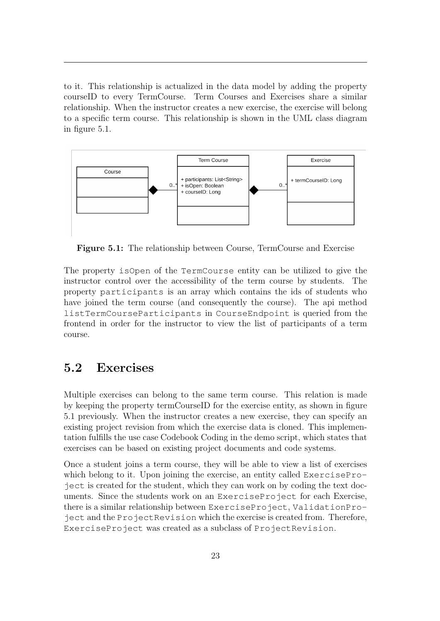to it. This relationship is actualized in the data model by adding the property courseID to every TermCourse. Term Courses and Exercises share a similar relationship. When the instructor creates a new exercise, the exercise will belong to a specific term course. This relationship is shown in the UML class diagram in figure [5.1.](#page-27-1)

<span id="page-27-1"></span>

Figure 5.1: The relationship between Course, TermCourse and Exercise

The property isOpen of the TermCourse entity can be utilized to give the instructor control over the accessibility of the term course by students. The property participants is an array which contains the ids of students who have joined the term course (and consequently the course). The api method listTermCourseParticipants in CourseEndpoint is queried from the frontend in order for the instructor to view the list of participants of a term course.

### <span id="page-27-0"></span>5.2 Exercises

Multiple exercises can belong to the same term course. This relation is made by keeping the property termCourseID for the exercise entity, as shown in figure [5.1](#page-27-1) previously. When the instructor creates a new exercise, they can specify an existing project revision from which the exercise data is cloned. This implementation fulfills the use case Codebook Coding in the demo script, which states that exercises can be based on existing project documents and code systems.

Once a student joins a term course, they will be able to view a list of exercises which belong to it. Upon joining the exercise, an entity called ExerciseProject is created for the student, which they can work on by coding the text documents. Since the students work on an ExerciseProject for each Exercise, there is a similar relationship between ExerciseProject, ValidationProject and the ProjectRevision which the exercise is created from. Therefore, ExerciseProject was created as a subclass of ProjectRevision.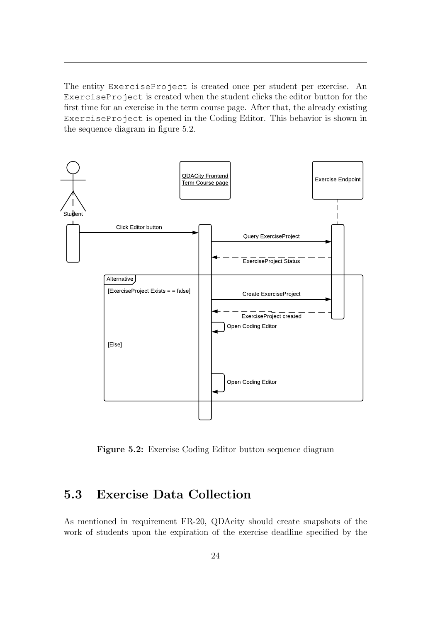The entity ExerciseProject is created once per student per exercise. An ExerciseProject is created when the student clicks the editor button for the first time for an exercise in the term course page. After that, the already existing ExerciseProject is opened in the Coding Editor. This behavior is shown in the sequence diagram in figure [5.2.](#page-28-1)

<span id="page-28-1"></span>

Figure 5.2: Exercise Coding Editor button sequence diagram

## <span id="page-28-0"></span>5.3 Exercise Data Collection

As mentioned in requirement FR-20, QDAcity should create snapshots of the work of students upon the expiration of the exercise deadline specified by the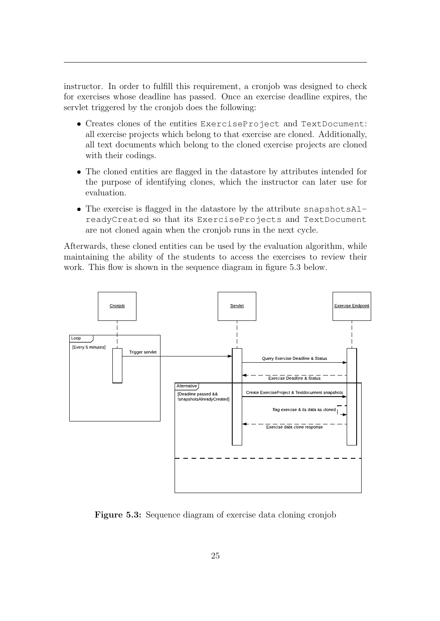instructor. In order to fulfill this requirement, a cronjob was designed to check for exercises whose deadline has passed. Once an exercise deadline expires, the servlet triggered by the cronjob does the following:

- Creates clones of the entities ExerciseProject and TextDocument: all exercise projects which belong to that exercise are cloned. Additionally, all text documents which belong to the cloned exercise projects are cloned with their codings.
- The cloned entities are flagged in the datastore by attributes intended for the purpose of identifying clones, which the instructor can later use for evaluation.
- The exercise is flagged in the datastore by the attribute snapshotsAlreadyCreated so that its ExerciseProjects and TextDocument are not cloned again when the cronjob runs in the next cycle.

Afterwards, these cloned entities can be used by the evaluation algorithm, while maintaining the ability of the students to access the exercises to review their work. This flow is shown in the sequence diagram in figure [5.3](#page-29-1) below.

<span id="page-29-1"></span>

<span id="page-29-0"></span>Figure 5.3: Sequence diagram of exercise data cloning cronjob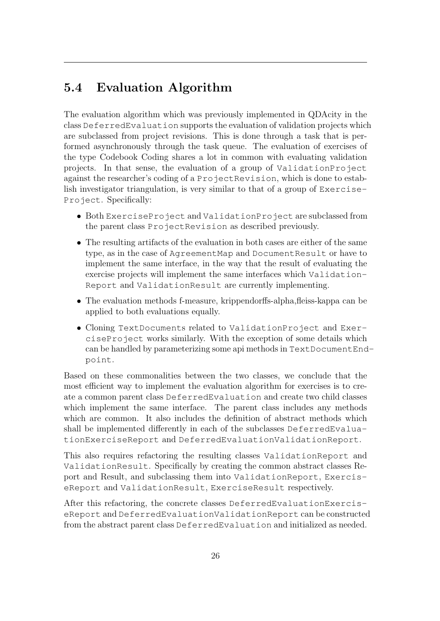## 5.4 Evaluation Algorithm

The evaluation algorithm which was previously implemented in QDAcity in the class DeferredEvaluation supports the evaluation of validation projects which are subclassed from project revisions. This is done through a task that is performed asynchronously through the task queue. The evaluation of exercises of the type Codebook Coding shares a lot in common with evaluating validation projects. In that sense, the evaluation of a group of ValidationProject against the researcher's coding of a ProjectRevision, which is done to establish investigator triangulation, is very similar to that of a group of Exercise-Project. Specifically:

- Both ExerciseProject and ValidationProject are subclassed from the parent class ProjectRevision as described previously.
- The resulting artifacts of the evaluation in both cases are either of the same type, as in the case of AgreementMap and DocumentResult or have to implement the same interface, in the way that the result of evaluating the exercise projects will implement the same interfaces which Validation-Report and ValidationResult are currently implementing.
- The evaluation methods f-measure, krippendorffs-alpha,fleiss-kappa can be applied to both evaluations equally.
- Cloning TextDocuments related to ValidationProject and ExerciseProject works similarly. With the exception of some details which can be handled by parameterizing some api methods in TextDocumentEndpoint.

Based on these commonalities between the two classes, we conclude that the most efficient way to implement the evaluation algorithm for exercises is to create a common parent class DeferredEvaluation and create two child classes which implement the same interface. The parent class includes any methods which are common. It also includes the definition of abstract methods which shall be implemented differently in each of the subclasses DeferredEvaluationExerciseReport and DeferredEvaluationValidationReport.

This also requires refactoring the resulting classes ValidationReport and ValidationResult. Specifically by creating the common abstract classes Report and Result, and subclassing them into ValidationReport, ExerciseReport and ValidationResult, ExerciseResult respectively.

After this refactoring, the concrete classes DeferredEvaluationExerciseReport and DeferredEvaluationValidationReport can be constructed from the abstract parent class DeferredEvaluation and initialized as needed.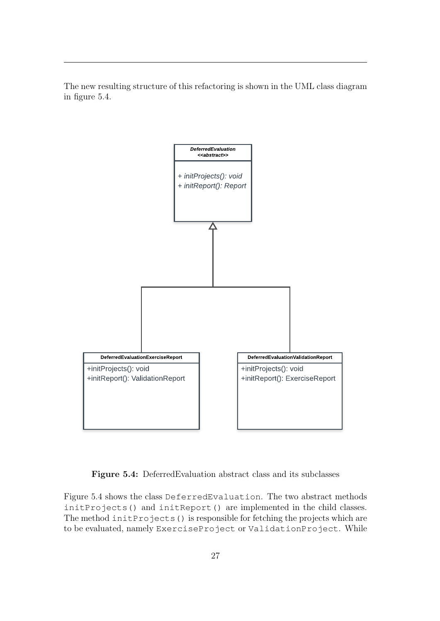The new resulting structure of this refactoring is shown in the UML class diagram in figure [5.4.](#page-31-0)

<span id="page-31-0"></span>

Figure 5.4: DeferredEvaluation abstract class and its subclasses

Figure [5.4](#page-31-0) shows the class DeferredEvaluation. The two abstract methods initProjects() and initReport() are implemented in the child classes. The method initProjects() is responsible for fetching the projects which are to be evaluated, namely ExerciseProject or ValidationProject. While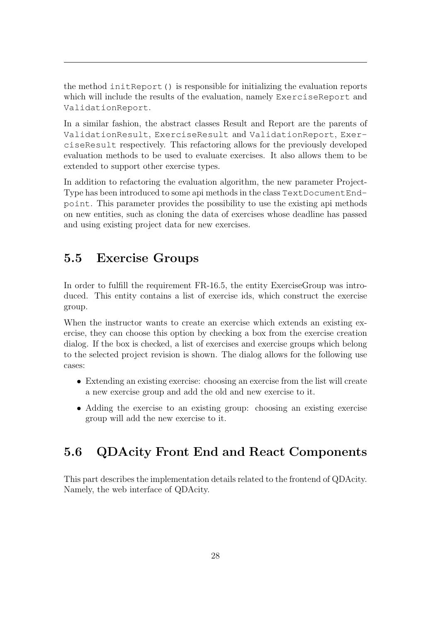the method initReport() is responsible for initializing the evaluation reports which will include the results of the evaluation, namely ExerciseReport and ValidationReport.

In a similar fashion, the abstract classes Result and Report are the parents of ValidationResult, ExerciseResult and ValidationReport, ExerciseResult respectively. This refactoring allows for the previously developed evaluation methods to be used to evaluate exercises. It also allows them to be extended to support other exercise types.

In addition to refactoring the evaluation algorithm, the new parameter Project-Type has been introduced to some api methods in the class TextDocumentEndpoint. This parameter provides the possibility to use the existing api methods on new entities, such as cloning the data of exercises whose deadline has passed and using existing project data for new exercises.

### <span id="page-32-0"></span>5.5 Exercise Groups

In order to fulfill the requirement FR-16.5, the entity ExerciseGroup was introduced. This entity contains a list of exercise ids, which construct the exercise group.

When the instructor wants to create an exercise which extends an existing exercise, they can choose this option by checking a box from the exercise creation dialog. If the box is checked, a list of exercises and exercise groups which belong to the selected project revision is shown. The dialog allows for the following use cases:

- Extending an existing exercise: choosing an exercise from the list will create a new exercise group and add the old and new exercise to it.
- <span id="page-32-1"></span>• Adding the exercise to an existing group: choosing an existing exercise group will add the new exercise to it.

## 5.6 QDAcity Front End and React Components

<span id="page-32-2"></span>This part describes the implementation details related to the frontend of QDAcity. Namely, the web interface of QDAcity.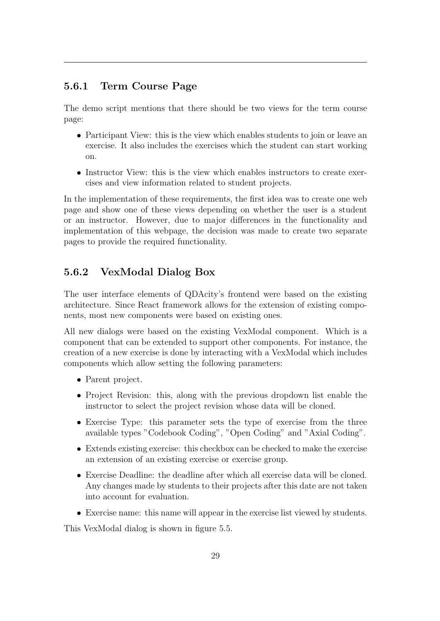#### 5.6.1 Term Course Page

The demo script mentions that there should be two views for the term course page:

- Participant View: this is the view which enables students to join or leave an exercise. It also includes the exercises which the student can start working on.
- Instructor View: this is the view which enables instructors to create exercises and view information related to student projects.

In the implementation of these requirements, the first idea was to create one web page and show one of these views depending on whether the user is a student or an instructor. However, due to major differences in the functionality and implementation of this webpage, the decision was made to create two separate pages to provide the required functionality.

#### <span id="page-33-0"></span>5.6.2 VexModal Dialog Box

The user interface elements of QDAcity's frontend were based on the existing architecture. Since React framework allows for the extension of existing components, most new components were based on existing ones.

All new dialogs were based on the existing VexModal component. Which is a component that can be extended to support other components. For instance, the creation of a new exercise is done by interacting with a VexModal which includes components which allow setting the following parameters:

- Parent project.
- Project Revision: this, along with the previous dropdown list enable the instructor to select the project revision whose data will be cloned.
- Exercise Type: this parameter sets the type of exercise from the three available types "Codebook Coding", "Open Coding" and "Axial Coding".
- Extends existing exercise: this checkbox can be checked to make the exercise an extension of an existing exercise or exercise group.
- Exercise Deadline: the deadline after which all exercise data will be cloned. Any changes made by students to their projects after this date are not taken into account for evaluation.
- Exercise name: this name will appear in the exercise list viewed by students.

This VexModal dialog is shown in figure [5.5.](#page-34-0)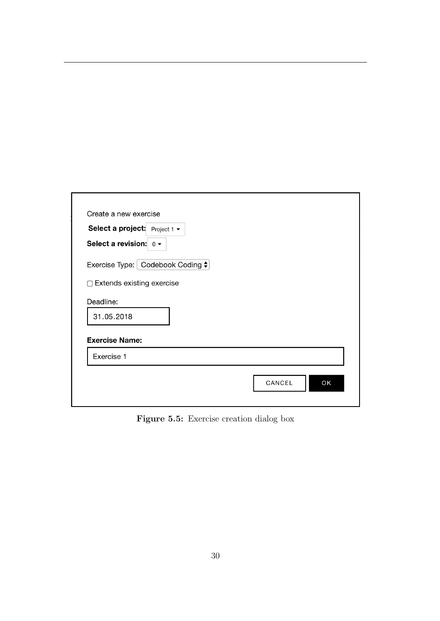<span id="page-34-0"></span>

| Select a project: Project 1 $\sim$<br>Select a revision: $0 \rightarrow$ |  |
|--------------------------------------------------------------------------|--|
| Exercise Type: Codebook Coding ♦                                         |  |
| □ Extends existing exercise                                              |  |
| Deadline:                                                                |  |
| 31.05.2018                                                               |  |
| <b>Exercise Name:</b>                                                    |  |
| Exercise 1                                                               |  |

Figure 5.5: Exercise creation dialog box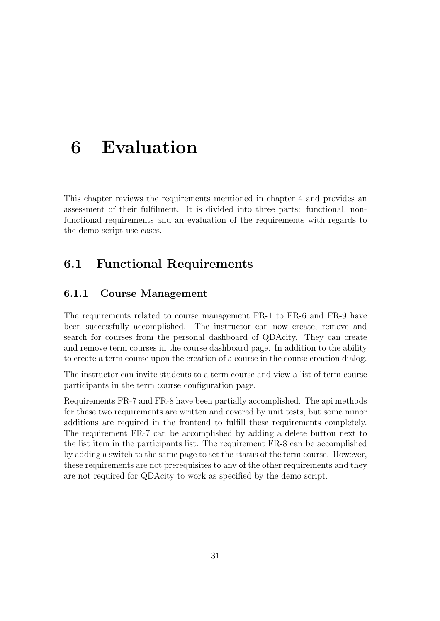## <span id="page-35-0"></span>6 Evaluation

This chapter reviews the requirements mentioned in chapter [4](#page-14-0) and provides an assessment of their fulfilment. It is divided into three parts: functional, nonfunctional requirements and an evaluation of the requirements with regards to the demo script use cases.

### <span id="page-35-1"></span>6.1 Functional Requirements

#### <span id="page-35-2"></span>6.1.1 Course Management

The requirements related to course management FR-1 to FR-6 and FR-9 have been successfully accomplished. The instructor can now create, remove and search for courses from the personal dashboard of QDAcity. They can create and remove term courses in the course dashboard page. In addition to the ability to create a term course upon the creation of a course in the course creation dialog.

The instructor can invite students to a term course and view a list of term course participants in the term course configuration page.

<span id="page-35-3"></span>Requirements FR-7 and FR-8 have been partially accomplished. The api methods for these two requirements are written and covered by unit tests, but some minor additions are required in the frontend to fulfill these requirements completely. The requirement FR-7 can be accomplished by adding a delete button next to the list item in the participants list. The requirement FR-8 can be accomplished by adding a switch to the same page to set the status of the term course. However, these requirements are not prerequisites to any of the other requirements and they are not required for QDAcity to work as specified by the demo script.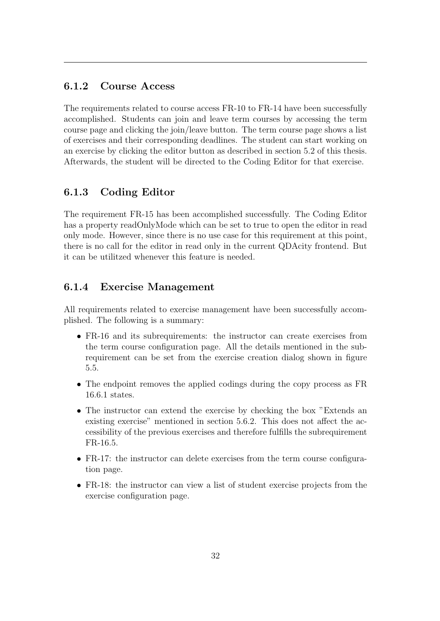#### 6.1.2 Course Access

The requirements related to course access FR-10 to FR-14 have been successfully accomplished. Students can join and leave term courses by accessing the term course page and clicking the join/leave button. The term course page shows a list of exercises and their corresponding deadlines. The student can start working on an exercise by clicking the editor button as described in section [5.2](#page-27-0) of this thesis. Afterwards, the student will be directed to the Coding Editor for that exercise.

#### <span id="page-36-0"></span>6.1.3 Coding Editor

The requirement FR-15 has been accomplished successfully. The Coding Editor has a property readOnlyMode which can be set to true to open the editor in read only mode. However, since there is no use case for this requirement at this point, there is no call for the editor in read only in the current QDAcity frontend. But it can be utilitzed whenever this feature is needed.

#### <span id="page-36-1"></span>6.1.4 Exercise Management

All requirements related to exercise management have been successfully accomplished. The following is a summary:

- FR-16 and its subrequirements: the instructor can create exercises from the term course configuration page. All the details mentioned in the subrequirement can be set from the exercise creation dialog shown in figure [5.5.](#page-34-0)
- The endpoint removes the applied codings during the copy process as FR 16.6.1 states.
- The instructor can extend the exercise by checking the box "Extends an existing exercise" mentioned in section [5.6.2.](#page-33-0) This does not affect the accessibility of the previous exercises and therefore fulfills the subrequirement FR-16.5.
- FR-17: the instructor can delete exercises from the term course configuration page.
- <span id="page-36-2"></span>• FR-18: the instructor can view a list of student exercise projects from the exercise configuration page.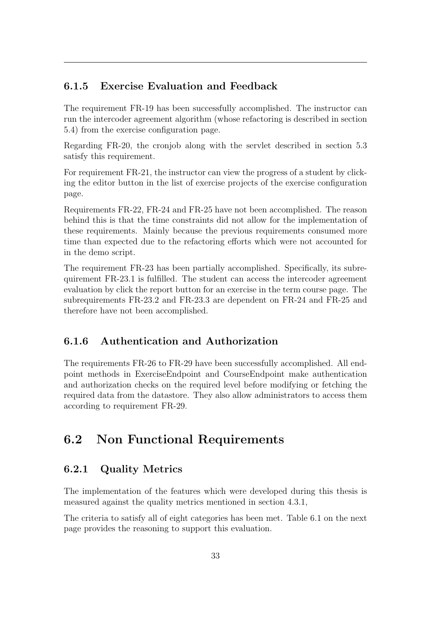#### 6.1.5 Exercise Evaluation and Feedback

The requirement FR-19 has been successfully accomplished. The instructor can run the intercoder agreement algorithm (whose refactoring is described in section [5.4\)](#page-29-0) from the exercise configuration page.

Regarding FR-20, the cronjob along with the servlet described in section [5.3](#page-28-0) satisfy this requirement.

For requirement FR-21, the instructor can view the progress of a student by clicking the editor button in the list of exercise projects of the exercise configuration page.

Requirements FR-22, FR-24 and FR-25 have not been accomplished. The reason behind this is that the time constraints did not allow for the implementation of these requirements. Mainly because the previous requirements consumed more time than expected due to the refactoring efforts which were not accounted for in the demo script.

The requirement FR-23 has been partially accomplished. Specifically, its subrequirement FR-23.1 is fulfilled. The student can access the intercoder agreement evaluation by click the report button for an exercise in the term course page. The subrequirements FR-23.2 and FR-23.3 are dependent on FR-24 and FR-25 and therefore have not been accomplished.

#### <span id="page-37-0"></span>6.1.6 Authentication and Authorization

The requirements FR-26 to FR-29 have been successfully accomplished. All endpoint methods in ExerciseEndpoint and CourseEndpoint make authentication and authorization checks on the required level before modifying or fetching the required data from the datastore. They also allow administrators to access them according to requirement FR-29.

## <span id="page-37-1"></span>6.2 Non Functional Requirements

#### <span id="page-37-2"></span>6.2.1 Quality Metrics

The implementation of the features which were developed during this thesis is measured against the quality metrics mentioned in section [4.3.1,](#page-23-0)

The criteria to satisfy all of eight categories has been met. Table [6.1](#page-38-0) on the next page provides the reasoning to support this evaluation.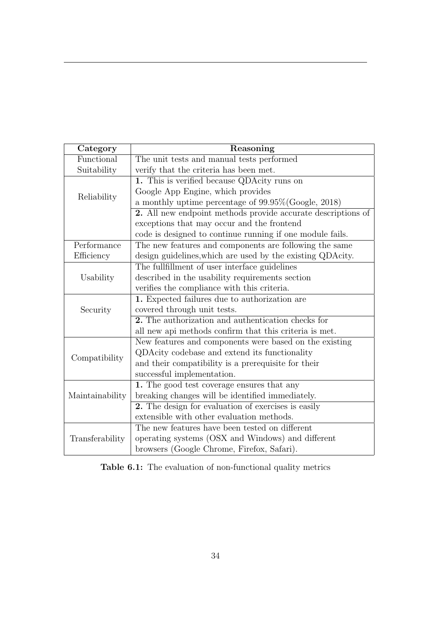<span id="page-38-0"></span>

| Category                                                                 | Reasoning                                                    |
|--------------------------------------------------------------------------|--------------------------------------------------------------|
| Functional                                                               | The unit tests and manual tests performed                    |
| Suitability                                                              | verify that the criteria has been met.                       |
|                                                                          | 1. This is verified because QDAcity runs on                  |
| Reliability                                                              | Google App Engine, which provides                            |
|                                                                          | a monthly uptime percentage of $99.95\%$ (Google, 2018)      |
|                                                                          | 2. All new endpoint methods provide accurate descriptions of |
|                                                                          | exceptions that may occur and the frontend                   |
|                                                                          | code is designed to continue running if one module fails.    |
| Performance                                                              | The new features and components are following the same       |
| Efficiency<br>design guidelines, which are used by the existing QDAcity. |                                                              |
|                                                                          | The fullfillment of user interface guidelines                |
| Usability                                                                | described in the usability requirements section              |
|                                                                          | verifies the compliance with this criteria.                  |
|                                                                          | 1. Expected failures due to authorization are                |
| Security                                                                 | covered through unit tests.                                  |
|                                                                          | 2. The authorization and authentication checks for           |
|                                                                          | all new api methods confirm that this criteria is met.       |
|                                                                          | New features and components were based on the existing       |
|                                                                          | QDAcity codebase and extend its functionality                |
| Compatibility                                                            | and their compatibility is a prerequisite for their          |
|                                                                          | successful implementation.                                   |
|                                                                          | 1. The good test coverage ensures that any                   |
| Maintainability                                                          | breaking changes will be identified immediately.             |
|                                                                          | 2. The design for evaluation of exercises is easily          |
|                                                                          | extensible with other evaluation methods.                    |
|                                                                          | The new features have been tested on different               |
| Transferability                                                          | operating systems (OSX and Windows) and different            |
|                                                                          | browsers (Google Chrome, Firefox, Safari).                   |

Table 6.1: The evaluation of non-functional quality metrics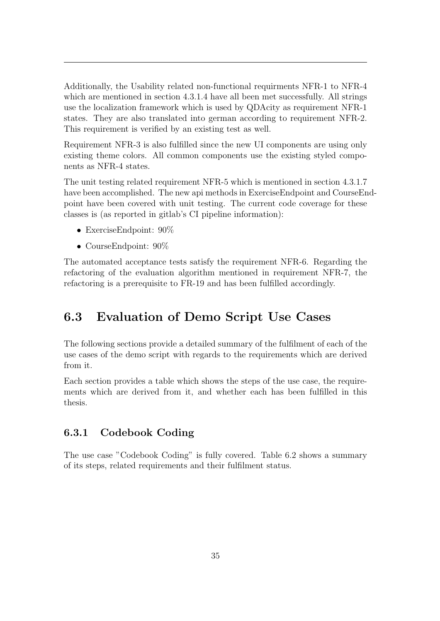Additionally, the Usability related non-functional requirments NFR-1 to NFR-4 which are mentioned in section [4.3.1.4](#page-24-0) have all been met successfully. All strings use the localization framework which is used by QDAcity as requirement NFR-1 states. They are also translated into german according to requirement NFR-2. This requirement is verified by an existing test as well.

Requirement NFR-3 is also fulfilled since the new UI components are using only existing theme colors. All common components use the existing styled components as NFR-4 states.

The unit testing related requirement NFR-5 which is mentioned in section [4.3.1.7](#page-24-1) have been accomplished. The new api methods in ExerciseEndpoint and CourseEndpoint have been covered with unit testing. The current code coverage for these classes is (as reported in gitlab's CI pipeline information):

- ExerciseEndpoint: 90%
- CourseEndpoint:  $90\%$

The automated acceptance tests satisfy the requirement NFR-6. Regarding the refactoring of the evaluation algorithm mentioned in requirement NFR-7, the refactoring is a prerequisite to FR-19 and has been fulfilled accordingly.

### <span id="page-39-0"></span>6.3 Evaluation of Demo Script Use Cases

The following sections provide a detailed summary of the fulfilment of each of the use cases of the demo script with regards to the requirements which are derived from it.

Each section provides a table which shows the steps of the use case, the requirements which are derived from it, and whether each has been fulfilled in this thesis.

#### <span id="page-39-1"></span>6.3.1 Codebook Coding

The use case "Codebook Coding" is fully covered. Table [6.2](#page-40-2) shows a summary of its steps, related requirements and their fulfilment status.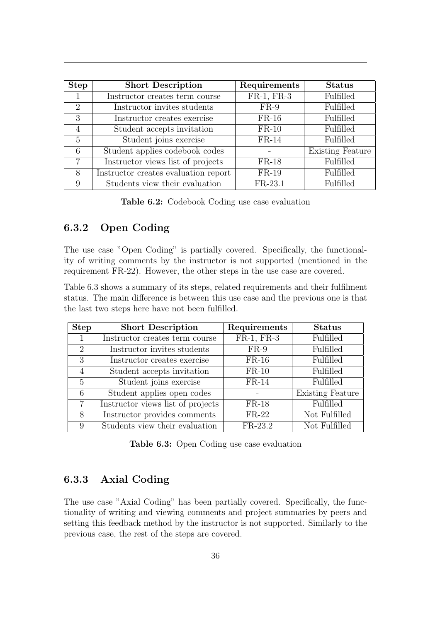<span id="page-40-2"></span>

| <b>Step</b>                 | <b>Short Description</b>             | Requirements | <b>Status</b>           |
|-----------------------------|--------------------------------------|--------------|-------------------------|
|                             | Instructor creates term course       | FR-1, FR-3   | Fulfilled               |
| $\mathcal{D}_{\mathcal{L}}$ | Instructor invites students          | $FR-9$       | Fulfilled               |
| 3                           | Instructor creates exercise          | $FR-16$      | Fulfilled               |
| $\overline{4}$              | Student accepts invitation           | $FR-10$      | Fulfilled               |
| 5                           | Student joins exercise               | $FR-14$      | Fulfilled               |
| 6                           | Student applies codebook codes       |              | <b>Existing Feature</b> |
| $\overline{7}$              | Instructor views list of projects    | $FR-18$      | Fulfilled               |
| 8                           | Instructor creates evaluation report | $FR-19$      | Fulfilled               |
| 9                           | Students view their evaluation       | $FR-23.1$    | <b>Fulfilled</b>        |

Table 6.2: Codebook Coding use case evaluation

#### <span id="page-40-0"></span>6.3.2 Open Coding

The use case "Open Coding" is partially covered. Specifically, the functionality of writing comments by the instructor is not supported (mentioned in the requirement FR-22). However, the other steps in the use case are covered.

Table [6.3](#page-40-3) shows a summary of its steps, related requirements and their fulfilment status. The main difference is between this use case and the previous one is that the last two steps here have not been fulfilled.

<span id="page-40-3"></span>

| <b>Step</b>    | <b>Short Description</b>          | Requirements | <b>Status</b>           |
|----------------|-----------------------------------|--------------|-------------------------|
|                | Instructor creates term course    | FR-1, FR-3   | Fulfilled               |
| $\overline{2}$ | Instructor invites students       | $FR-9$       | Fulfilled               |
| 3              | Instructor creates exercise       | $FR-16$      | Fulfilled               |
| $\overline{4}$ | Student accepts invitation        | $FR-10$      | Fulfilled               |
| 5              | Student joins exercise            | $FR-14$      | Fulfilled               |
| 6              | Student applies open codes        |              | <b>Existing Feature</b> |
| 7              | Instructor views list of projects | $FR-18$      | Fulfilled               |
| 8              | Instructor provides comments      | $FR-22$      | Not Fulfilled           |
| 9              | Students view their evaluation    | $FR-23.2$    | Not Fulfilled           |

Table 6.3: Open Coding use case evaluation

#### <span id="page-40-1"></span>6.3.3 Axial Coding

The use case "Axial Coding" has been partially covered. Specifically, the functionality of writing and viewing comments and project summaries by peers and setting this feedback method by the instructor is not supported. Similarly to the previous case, the rest of the steps are covered.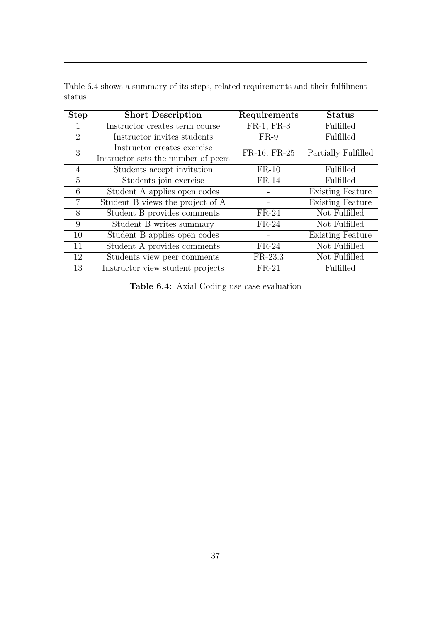<span id="page-41-0"></span>

| <b>Step</b>    | <b>Short Description</b>                                           | Requirements | <b>Status</b>           |
|----------------|--------------------------------------------------------------------|--------------|-------------------------|
|                | Instructor creates term course                                     | FR-1, FR-3   | Fulfilled               |
| $\overline{2}$ | Instructor invites students                                        | $FR-9$       | Fulfilled               |
| 3              | Instructor creates exercise<br>Instructor sets the number of peers | FR-16, FR-25 | Partially Fulfilled     |
| 4              | Students accept invitation                                         | $FR-10$      | Fulfilled               |
| $\overline{5}$ | Students join exercise                                             | $FR-14$      | Fulfilled               |
| 6              | Student A applies open codes                                       |              | <b>Existing Feature</b> |
| $\overline{7}$ | Student B views the project of A                                   |              | <b>Existing Feature</b> |
| 8              | Student B provides comments                                        | $FR-24$      | Not Fulfilled           |
| 9              | Student B writes summary                                           | $FR-24$      | Not Fulfilled           |
| 10             | Student B applies open codes                                       |              | <b>Existing Feature</b> |
| 11             | Student A provides comments                                        | $FR-24$      | Not Fulfilled           |
| 12             | Students view peer comments                                        | $FR-23.3$    | Not Fulfilled           |
| 13             | Instructor view student projects                                   | $FR-21$      | Fulfilled               |

Table [6.4](#page-41-0) shows a summary of its steps, related requirements and their fulfilment status.

Table 6.4: Axial Coding use case evaluation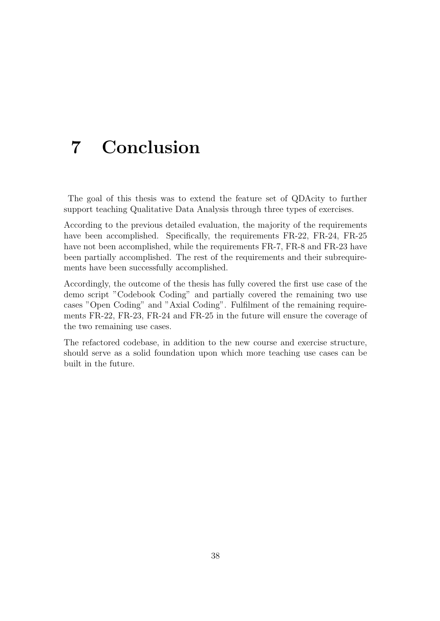## <span id="page-42-0"></span>7 Conclusion

The goal of this thesis was to extend the feature set of QDAcity to further support teaching Qualitative Data Analysis through three types of exercises.

According to the previous detailed evaluation, the majority of the requirements have been accomplished. Specifically, the requirements FR-22, FR-24, FR-25 have not been accomplished, while the requirements FR-7, FR-8 and FR-23 have been partially accomplished. The rest of the requirements and their subrequirements have been successfully accomplished.

Accordingly, the outcome of the thesis has fully covered the first use case of the demo script "Codebook Coding" and partially covered the remaining two use cases "Open Coding" and "Axial Coding". Fulfilment of the remaining requirements FR-22, FR-23, FR-24 and FR-25 in the future will ensure the coverage of the two remaining use cases.

The refactored codebase, in addition to the new course and exercise structure, should serve as a solid foundation upon which more teaching use cases can be built in the future.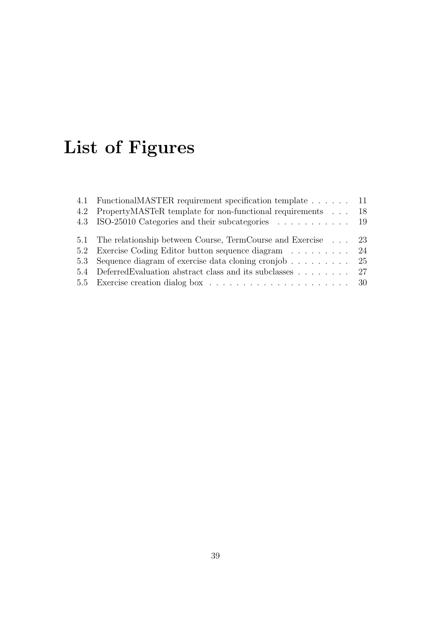# List of Figures

| 4.1 FunctionalMASTER requirement specification template 11      |  |
|-----------------------------------------------------------------|--|
| 4.2 PropertyMASTeR template for non-functional requirements 18  |  |
| 4.3 ISO-25010 Categories and their subcategories  19            |  |
| 5.1 The relationship between Course, TermCourse and Exercise 23 |  |
| 5.2 Exercise Coding Editor button sequence diagram 24           |  |
| 5.3 Sequence diagram of exercise data cloning cronjob 25        |  |
| 5.4 Deferred Evaluation abstract class and its subclasses 27    |  |
|                                                                 |  |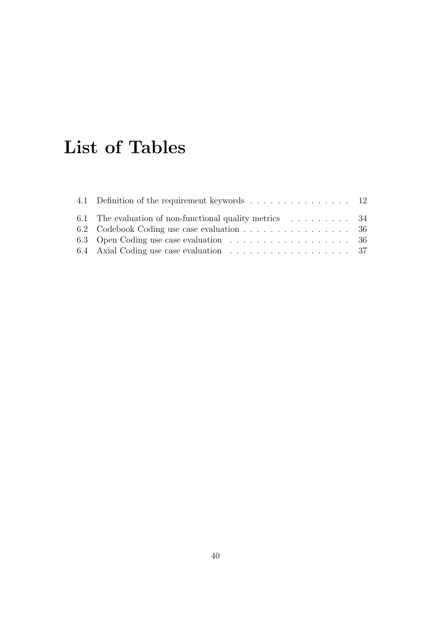## List of Tables

| 4.1 Definition of the requirement keywords 12            |  |
|----------------------------------------------------------|--|
| 6.1 The evaluation of non-functional quality metrics  34 |  |
| 6.2 Codebook Coding use case evaluation 36               |  |
| 6.3 Open Coding use case evaluation 36                   |  |
|                                                          |  |